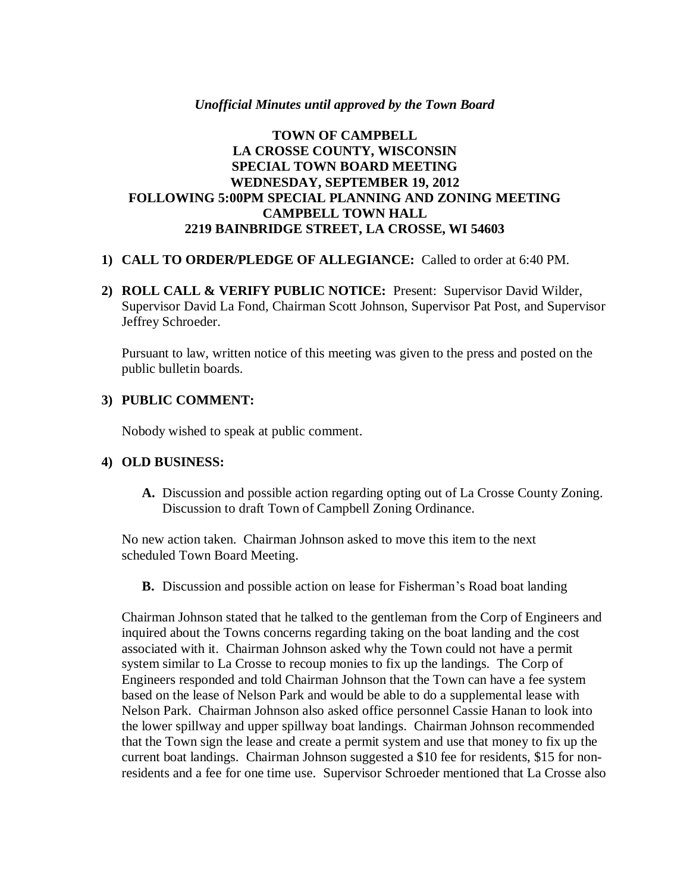#### *Unofficial Minutes until approved by the Town Board*

## **TOWN OF CAMPBELL LA CROSSE COUNTY, WISCONSIN SPECIAL TOWN BOARD MEETING WEDNESDAY, SEPTEMBER 19, 2012 FOLLOWING 5:00PM SPECIAL PLANNING AND ZONING MEETING CAMPBELL TOWN HALL 2219 BAINBRIDGE STREET, LA CROSSE, WI 54603**

### **1) CALL TO ORDER/PLEDGE OF ALLEGIANCE:** Called to order at 6:40 PM.

**2) ROLL CALL & VERIFY PUBLIC NOTICE:** Present: Supervisor David Wilder, Supervisor David La Fond, Chairman Scott Johnson, Supervisor Pat Post, and Supervisor Jeffrey Schroeder.

Pursuant to law, written notice of this meeting was given to the press and posted on the public bulletin boards.

## **3) PUBLIC COMMENT:**

Nobody wished to speak at public comment.

### **4) OLD BUSINESS:**

**A.** Discussion and possible action regarding opting out of La Crosse County Zoning. Discussion to draft Town of Campbell Zoning Ordinance.

No new action taken. Chairman Johnson asked to move this item to the next scheduled Town Board Meeting.

**B.** Discussion and possible action on lease for Fisherman's Road boat landing

Chairman Johnson stated that he talked to the gentleman from the Corp of Engineers and inquired about the Towns concerns regarding taking on the boat landing and the cost associated with it. Chairman Johnson asked why the Town could not have a permit system similar to La Crosse to recoup monies to fix up the landings. The Corp of Engineers responded and told Chairman Johnson that the Town can have a fee system based on the lease of Nelson Park and would be able to do a supplemental lease with Nelson Park. Chairman Johnson also asked office personnel Cassie Hanan to look into the lower spillway and upper spillway boat landings. Chairman Johnson recommended that the Town sign the lease and create a permit system and use that money to fix up the current boat landings. Chairman Johnson suggested a \$10 fee for residents, \$15 for nonresidents and a fee for one time use. Supervisor Schroeder mentioned that La Crosse also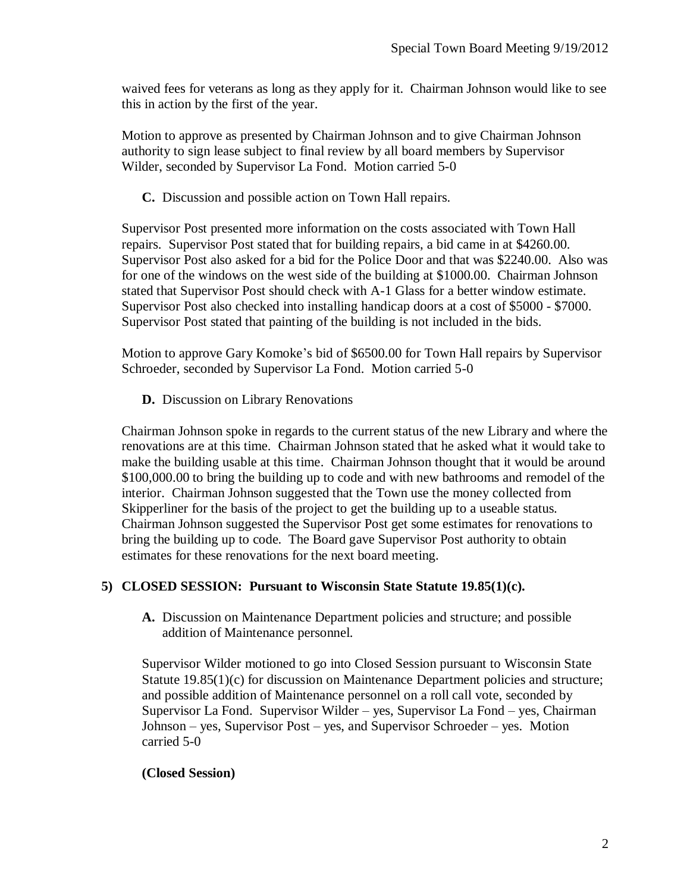waived fees for veterans as long as they apply for it. Chairman Johnson would like to see this in action by the first of the year.

Motion to approve as presented by Chairman Johnson and to give Chairman Johnson authority to sign lease subject to final review by all board members by Supervisor Wilder, seconded by Supervisor La Fond. Motion carried 5-0

**C.** Discussion and possible action on Town Hall repairs.

Supervisor Post presented more information on the costs associated with Town Hall repairs. Supervisor Post stated that for building repairs, a bid came in at \$4260.00. Supervisor Post also asked for a bid for the Police Door and that was \$2240.00. Also was for one of the windows on the west side of the building at \$1000.00. Chairman Johnson stated that Supervisor Post should check with A-1 Glass for a better window estimate. Supervisor Post also checked into installing handicap doors at a cost of \$5000 - \$7000. Supervisor Post stated that painting of the building is not included in the bids.

Motion to approve Gary Komoke's bid of \$6500.00 for Town Hall repairs by Supervisor Schroeder, seconded by Supervisor La Fond. Motion carried 5-0

**D.** Discussion on Library Renovations

Chairman Johnson spoke in regards to the current status of the new Library and where the renovations are at this time. Chairman Johnson stated that he asked what it would take to make the building usable at this time. Chairman Johnson thought that it would be around \$100,000.00 to bring the building up to code and with new bathrooms and remodel of the interior. Chairman Johnson suggested that the Town use the money collected from Skipperliner for the basis of the project to get the building up to a useable status. Chairman Johnson suggested the Supervisor Post get some estimates for renovations to bring the building up to code. The Board gave Supervisor Post authority to obtain estimates for these renovations for the next board meeting.

# **5) CLOSED SESSION: Pursuant to Wisconsin State Statute 19.85(1)(c).**

**A.** Discussion on Maintenance Department policies and structure; and possible addition of Maintenance personnel.

Supervisor Wilder motioned to go into Closed Session pursuant to Wisconsin State Statute 19.85(1)(c) for discussion on Maintenance Department policies and structure; and possible addition of Maintenance personnel on a roll call vote, seconded by Supervisor La Fond. Supervisor Wilder – yes, Supervisor La Fond – yes, Chairman Johnson – yes, Supervisor Post – yes, and Supervisor Schroeder – yes. Motion carried 5-0

# **(Closed Session)**